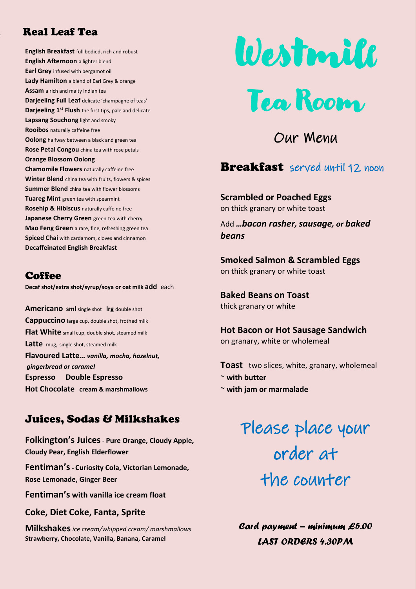### Real Real Leaf Tea

**English Breakfast** full bodied, rich and robust **English Afternoon** a lighter blend **Earl Grey** infused with bergamot oil **Lady Hamilton** a blend of Earl Grey & orange **Assam** a rich and malty Indian tea **Darjeeling Full Leaf** delicate 'champagne of teas' **Darjeeling 1st Flush** the first tips, pale and delicate **Lapsang Souchong** light and smoky **Rooibos** naturally caffeine free **Oolong** halfway between a black and green tea **Rose Petal Congou** china tea with rose petals **Orange Blossom Oolong Chamomile Flowers** naturally caffeine free **Winter Blend** china tea with fruits, flowers & spices **Summer Blend** china tea with flower blossoms **Tuareg Mint** green tea with spearmint **Rosehip & Hibiscus** naturally caffeine free **Japanese Cherry Green** green tea with cherry **Mao Feng Green** a rare, fine, refreshing green tea **Spiced Chai** with cardamom, cloves and cinnamon **Decaffeinated English Breakfast**

#### **Coffee**

**Decaf shot/extra shot/syrup/soya or oat milk add** each

**Americano sml** single shot **lrg** double shot **Cappuccino** large cup, double shot, frothed milk **Flat White** small cup, double shot, steamed milk **Latte** mug, single shot, steamed milk **Flavoured Latte***… vanilla, mocha, hazelnut, gingerbread or caramel* **Espresso Double Espresso Hot Chocolate cream & marshmallows**

#### Juices, Sodas & Milkshakes

**Folkington's Juices**- **Pure Orange, Cloudy Apple, Cloudy Pear, English Elderflower**

**Fentiman's- Curiosity Cola, Victorian Lemonade, Rose Lemonade, Ginger Beer**

**Fentiman's with vanilla ice cream float** 

**Coke, Diet Coke, Fanta, Sprite**

**Milkshakes***ice cream/whipped cream/ marshmallows* **Strawberry, Chocolate, Vanilla, Banana, Caramel**



Our Menu

### **Breakfast** served until 12 noon

**Scrambled or Poached Eggs** on thick granary or white toast

Add *…bacon rasher, sausage, or baked beans*

**Smoked Salmon & Scrambled Eggs** on thick granary or white toast

**Baked Beans on Toast** thick granary or white

**Hot Bacon or Hot Sausage Sandwich** on granary, white or wholemeal

**Toast** two slices, white, granary, wholemeal ~ **with butter** ~ **with jam or marmalade**

> Please place your order at the counter

*Card payment – minimum £5.00 LAST ORDERS 4.30PM*